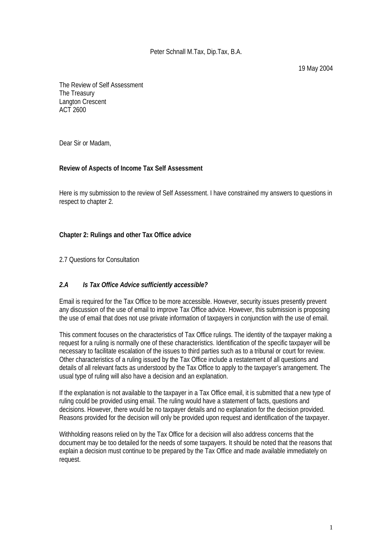The Review of Self Assessment The Treasury Langton Crescent ACT 2600

Dear Sir or Madam,

#### **Review of Aspects of Income Tax Self Assessment**

Here is my submission to the review of Self Assessment. I have constrained my answers to questions in respect to chapter 2.

#### **Chapter 2: Rulings and other Tax Office advice**

2.7 Questions for Consultation

#### *2.A Is Tax Office Advice sufficiently accessible?*

Email is required for the Tax Office to be more accessible. However, security issues presently prevent any discussion of the use of email to improve Tax Office advice. However, this submission is proposing the use of email that does not use private information of taxpayers in conjunction with the use of email.

This comment focuses on the characteristics of Tax Office rulings. The identity of the taxpayer making a request for a ruling is normally one of these characteristics. Identification of the specific taxpayer will be necessary to facilitate escalation of the issues to third parties such as to a tribunal or court for review. Other characteristics of a ruling issued by the Tax Office include a restatement of all questions and details of all relevant facts as understood by the Tax Office to apply to the taxpayer's arrangement. The usual type of ruling will also have a decision and an explanation.

If the explanation is not available to the taxpayer in a Tax Office email, it is submitted that a new type of ruling could be provided using email. The ruling would have a statement of facts, questions and decisions. However, there would be no taxpayer details and no explanation for the decision provided. Reasons provided for the decision will only be provided upon request and identification of the taxpayer.

Withholding reasons relied on by the Tax Office for a decision will also address concerns that the document may be too detailed for the needs of some taxpayers. It should be noted that the reasons that explain a decision must continue to be prepared by the Tax Office and made available immediately on request.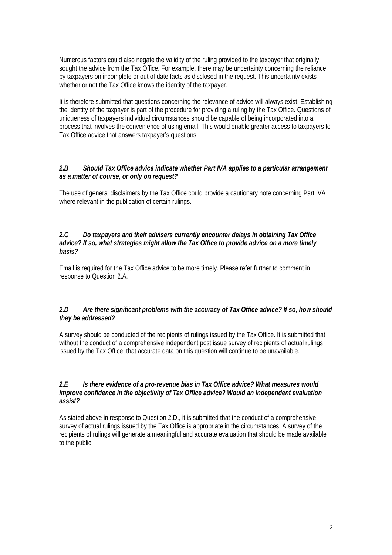Numerous factors could also negate the validity of the ruling provided to the taxpayer that originally sought the advice from the Tax Office. For example, there may be uncertainty concerning the reliance by taxpayers on incomplete or out of date facts as disclosed in the request. This uncertainty exists whether or not the Tax Office knows the identity of the taxpayer.

It is therefore submitted that questions concerning the relevance of advice will always exist. Establishing the identity of the taxpayer is part of the procedure for providing a ruling by the Tax Office. Questions of uniqueness of taxpayers individual circumstances should be capable of being incorporated into a process that involves the convenience of using email. This would enable greater access to taxpayers to Tax Office advice that answers taxpayer's questions.

## *2.B Should Tax Office advice indicate whether Part IVA applies to a particular arrangement as a matter of course, or only on request?*

The use of general disclaimers by the Tax Office could provide a cautionary note concerning Part IVA where relevant in the publication of certain rulings.

#### *2.C Do taxpayers and their advisers currently encounter delays in obtaining Tax Office advice? If so, what strategies might allow the Tax Office to provide advice on a more timely basis?*

Email is required for the Tax Office advice to be more timely. Please refer further to comment in response to Question 2.A.

#### *2.D Are there significant problems with the accuracy of Tax Office advice? If so, how should they be addressed?*

A survey should be conducted of the recipients of rulings issued by the Tax Office. It is submitted that without the conduct of a comprehensive independent post issue survey of recipients of actual rulings issued by the Tax Office, that accurate data on this question will continue to be unavailable.

#### *2.E Is there evidence of a pro-revenue bias in Tax Office advice? What measures would improve confidence in the objectivity of Tax Office advice? Would an independent evaluation assist?*

As stated above in response to Question 2.D., it is submitted that the conduct of a comprehensive survey of actual rulings issued by the Tax Office is appropriate in the circumstances. A survey of the recipients of rulings will generate a meaningful and accurate evaluation that should be made available to the public.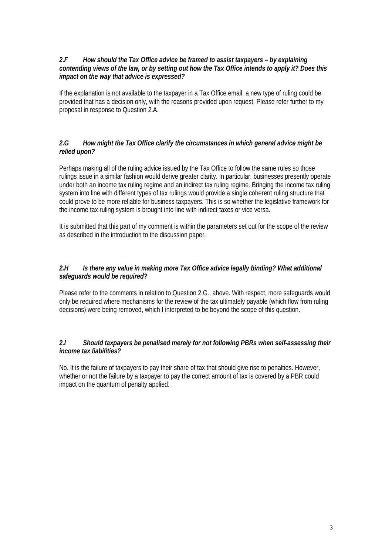#### *2.F How should the Tax Office advice be framed to assist taxpayers – by explaining contending views of the law, or by setting out how the Tax Office intends to apply it? Does this impact on the way that advice is expressed?*

If the explanation is not available to the taxpayer in a Tax Office email, a new type of ruling could be provided that has a decision only, with the reasons provided upon request. Please refer further to my proposal in response to Question 2.A.

## *2.G How might the Tax Office clarify the circumstances in which general advice might be relied upon?*

Perhaps making all of the ruling advice issued by the Tax Office to follow the same rules so those rulings issue in a similar fashion would derive greater clarity. In particular, businesses presently operate under both an income tax ruling regime and an indirect tax ruling regime. Bringing the income tax ruling system into line with different types of tax rulings would provide a single coherent ruling structure that could prove to be more reliable for business taxpayers. This is so whether the legislative framework for the income tax ruling system is brought into line with indirect taxes or vice versa.

It is submitted that this part of my comment is within the parameters set out for the scope of the review as described in the introduction to the discussion paper.

## *2.H Is there any value in making more Tax Office advice legally binding? What additional safeguards would be required?*

Please refer to the comments in relation to Question 2.G., above. With respect, more safeguards would only be required where mechanisms for the review of the tax ultimately payable (which flow from ruling decisions) were being removed, which I interpreted to be beyond the scope of this question.

# *2.I Should taxpayers be penalised merely for not following PBRs when self-assessing their income tax liabilities?*

No. It is the failure of taxpayers to pay their share of tax that should give rise to penalties. However, whether or not the failure by a taxpayer to pay the correct amount of tax is covered by a PBR could impact on the quantum of penalty applied.